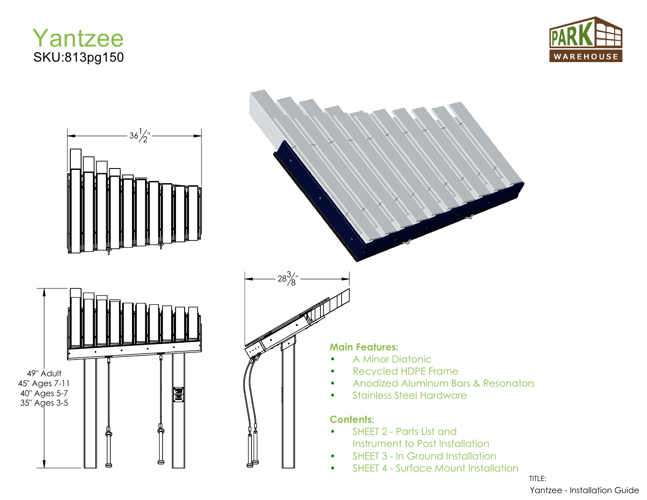





TITLE: Yantzee - Installation Guide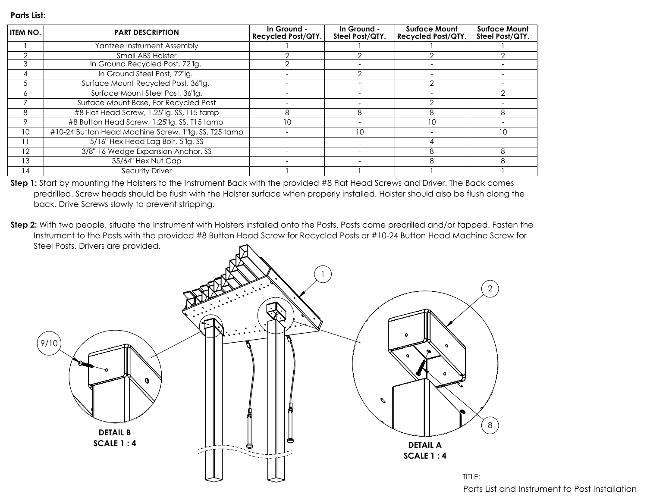| <b>ITEM NO.</b> | <b>PART DESCRIPTION</b>                              | In Ground -<br><b>Recycled Post/QTY.</b> | In Ground -<br>Steel Post/QTY. | <b>Surface Mount</b><br><b>Recycled Post/QTY.</b> | <b>Surface Mount</b><br>Steel Post/QTY. |
|-----------------|------------------------------------------------------|------------------------------------------|--------------------------------|---------------------------------------------------|-----------------------------------------|
|                 | Yantzee Instrument Assembly                          |                                          |                                |                                                   |                                         |
|                 | Small ABS Holster                                    |                                          |                                |                                                   |                                         |
| 3               | In Ground Recycled Post, 72"lg.                      |                                          |                                |                                                   |                                         |
| 4               | In Ground Steel Post, 72"lg.                         |                                          |                                |                                                   |                                         |
| .5              | Surface Mount Recycled Post, 36"lg.                  |                                          |                                |                                                   |                                         |
| 6               | Surface Mount Steel Post, 36"lg.                     |                                          |                                |                                                   |                                         |
|                 | Surface Mount Base, For Recycled Post                |                                          |                                |                                                   |                                         |
| 8               | #8 Flat Head Screw, 1.25"lg. SS, T15 tamp            | 8                                        | 8                              | 8                                                 | 8                                       |
| 9               | #8 Button Head Screw, 1.25"lg. SS, T15 tamp          | 10                                       |                                | 10                                                |                                         |
| 10 <sup>°</sup> | #10-24 Button Head Machine Screw, 1" g. SS, T25 tamp |                                          | 10                             |                                                   | 10                                      |
| 11              | 5/16" Hex Head Lag Bolt, 5"lg. SS                    |                                          |                                |                                                   |                                         |
| 12              | 3/8"-16 Wedge Expansion Anchor, SS                   |                                          |                                |                                                   | 8                                       |
| 13              | 35/64" Hex Nut Cap                                   |                                          |                                | 8                                                 | 8                                       |
| 14              | <b>Security Driver</b>                               |                                          |                                |                                                   |                                         |

**Step 1:** Start by mounting the Holsters to the Instrument Back with the provided #8 Flat Head Screws and Driver. The Back comes predrilled. Screw heads should be flush with the Holster surface when properly installed. Holster should also be flush along the back. Drive Screws slowly to prevent stripping.

**Step 2:** With two people, situate the Instrument with Holsters installed onto the Posts. Posts come predrilled and/or tapped. Fasten the Instrument to the Posts with the provided #8 Button Head Screw for Recycled Posts or #10-24 Button Head Machine Screw for Steel Posts. Drivers are provided.



Parts List and Instrument to Post Installation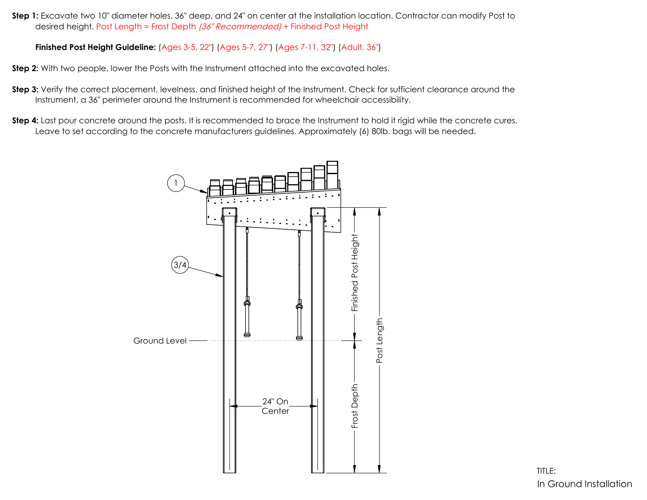**Step 1:** Excavate two 10" diameter holes, 36" deep, and 24" on center at the installation location. Contractor can modify Post to desired height. Post Length = Frost Depth (36" Recommended) + Finished Post Height

**Finished Post Height Guideline:** (Ages 3-5, 22") (Ages 5-7, 27") (Ages 7-11, 32") (Adult, 36")

**Step 2:** With two people, lower the Posts with the Instrument attached into the excavated holes.

- **Step 3:** Verify the correct placement, levelness, and finished height of the Instrument. Check for sufficient clearance around the Instrument, a 36" perimeter around the Instrument is recommended for wheelchair accessibility.
- **Step 4:** Last pour concrete around the posts. It is recommended to brace the Instrument to hold it rigid while the concrete cures. Leave to set according to the concrete manufacturers guidelines. Approximately (6) 80lb. bags will be needed.